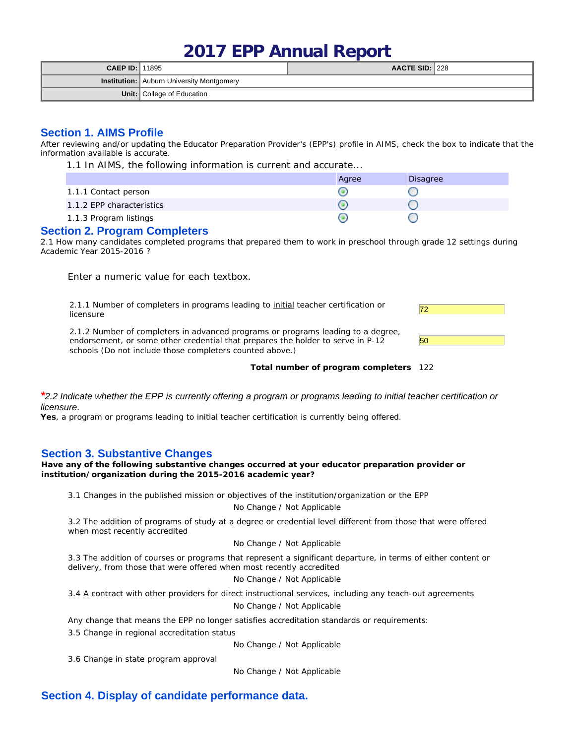# **2017 EPP Annual Report**

| <b>CAEP ID: 11895</b> |                                           | AACTE SID: $ 228$ |  |  |  |
|-----------------------|-------------------------------------------|-------------------|--|--|--|
|                       | Institution: Auburn University Montgomery |                   |  |  |  |
|                       | <b>Unit:</b> College of Education         |                   |  |  |  |

# **Section 1. AIMS Profile**

After reviewing and/or updating the Educator Preparation Provider's (EPP's) profile in AIMS, check the box to indicate that the information available is accurate.

1.1 In AIMS, the following information is current and accurate...

|                           | Agree | Disagree |
|---------------------------|-------|----------|
| 1.1.1 Contact person      |       |          |
| 1.1.2 EPP characteristics |       |          |
| 1.1.3 Program listings    |       |          |

## **Section 2. Program Completers**

2.1 How many candidates completed programs that prepared them to work in preschool through grade 12 settings during Academic Year 2015-2016 ?

Enter a numeric value for each textbox.

2.1.1 Number of completers in programs leading to <u>initial</u> teacher certification or **72**<br>licensure

2.1.2 Number of completers in advanced programs or programs leading to a degree, endorsement, or some other credential that prepares the holder to serve in P-12 schools (Do not include those completers counted above.)

| 50 |  |  |  |
|----|--|--|--|

**Total number of program completers** 122

#### *\*2.2 Indicate whether the EPP is currently offering a program or programs leading to initial teacher certification or licensure.*

**Yes**, a program or programs leading to initial teacher certification is currently being offered.

## **Section 3. Substantive Changes**

**Have any of the following substantive changes occurred at your educator preparation provider or institution/organization during the 2015-2016 academic year?**

3.1 Changes in the published mission or objectives of the institution/organization or the EPP

## No Change / Not Applicable

3.2 The addition of programs of study at a degree or credential level different from those that were offered when most recently accredited

#### No Change / Not Applicable

3.3 The addition of courses or programs that represent a significant departure, in terms of either content or delivery, from those that were offered when most recently accredited

No Change / Not Applicable

3.4 A contract with other providers for direct instructional services, including any teach-out agreements

No Change / Not Applicable

Any change that means the EPP no longer satisfies accreditation standards or requirements:

3.5 Change in regional accreditation status

No Change / Not Applicable

3.6 Change in state program approval

No Change / Not Applicable

# **Section 4. Display of candidate performance data.**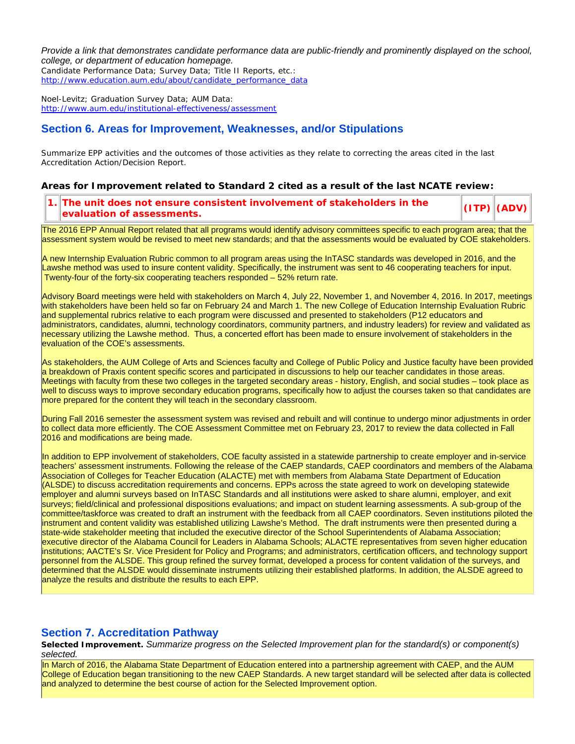*Provide a link that demonstrates candidate performance data are public-friendly and prominently displayed on the school, college, or department of education homepage.* Candidate Performance Data; Survey Data; Title II Reports, etc.: http://www.education.aum.edu/about/candidate\_performance\_data

Noel-Levitz; Graduation Survey Data; AUM Data: http://www.aum.edu/institutional-effectiveness/assessment

## **Section 6. Areas for Improvement, Weaknesses, and/or Stipulations**

Summarize EPP activities and the outcomes of those activities as they relate to correcting the areas cited in the last Accreditation Action/Decision Report.

**Areas for Improvement related to Standard 2 cited as a result of the last NCATE review:**

**1. The unit does not ensure consistent involvement of stakeholders in the evaluation of assessments. (ITP) (ADV)**

The 2016 EPP Annual Report related that all programs would identify advisory committees specific to each program area; that the assessment system would be revised to meet new standards; and that the assessments would be evaluated by COE stakeholders.

A new Internship Evaluation Rubric common to all program areas using the InTASC standards was developed in 2016, and the Lawshe method was used to insure content validity. Specifically, the instrument was sent to 46 cooperating teachers for input. Twenty-four of the forty-six cooperating teachers responded – 52% return rate.

Advisory Board meetings were held with stakeholders on March 4, July 22, November 1, and November 4, 2016. In 2017, meetings with stakeholders have been held so far on February 24 and March 1. The new College of Education Internship Evaluation Rubric and supplemental rubrics relative to each program were discussed and presented to stakeholders (P12 educators and administrators, candidates, alumni, technology coordinators, community partners, and industry leaders) for review and validated as necessary utilizing the Lawshe method. Thus, a concerted effort has been made to ensure involvement of stakeholders in the evaluation of the COE's assessments.

As stakeholders, the AUM College of Arts and Sciences faculty and College of Public Policy and Justice faculty have been provided a breakdown of Praxis content specific scores and participated in discussions to help our teacher candidates in those areas. Meetings with faculty from these two colleges in the targeted secondary areas - history, English, and social studies – took place as well to discuss ways to improve secondary education programs, specifically how to adjust the courses taken so that candidates are more prepared for the content they will teach in the secondary classroom.

During Fall 2016 semester the assessment system was revised and rebuilt and will continue to undergo minor adjustments in order to collect data more efficiently. The COE Assessment Committee met on February 23, 2017 to review the data collected in Fall 2016 and modifications are being made.

In addition to EPP involvement of stakeholders, COE faculty assisted in a statewide partnership to create employer and in-service teachers' assessment instruments. Following the release of the CAEP standards, CAEP coordinators and members of the Alabama Association of Colleges for Teacher Education (ALACTE) met with members from Alabama State Department of Education (ALSDE) to discuss accreditation requirements and concerns. EPPs across the state agreed to work on developing statewide employer and alumni surveys based on InTASC Standards and all institutions were asked to share alumni, employer, and exit surveys; field/clinical and professional dispositions evaluations; and impact on student learning assessments. A sub-group of the committee/taskforce was created to draft an instrument with the feedback from all CAEP coordinators. Seven institutions piloted the instrument and content validity was established utilizing Lawshe's Method. The draft instruments were then presented during a state-wide stakeholder meeting that included the executive director of the School Superintendents of Alabama Association; executive director of the Alabama Council for Leaders in Alabama Schools; ALACTE representatives from seven higher education institutions; AACTE's Sr. Vice President for Policy and Programs; and administrators, certification officers, and technology support personnel from the ALSDE. This group refined the survey format, developed a process for content validation of the surveys, and determined that the ALSDE would disseminate instruments utilizing their established platforms. In addition, the ALSDE agreed to analyze the results and distribute the results to each EPP.

## **Section 7. Accreditation Pathway**

**Selected Improvement.** *Summarize progress on the Selected Improvement plan for the standard(s) or component(s) selected.*

In March of 2016, the Alabama State Department of Education entered into a partnership agreement with CAEP, and the AUM College of Education began transitioning to the new CAEP Standards. A new target standard will be selected after data is collected and analyzed to determine the best course of action for the Selected Improvement option.